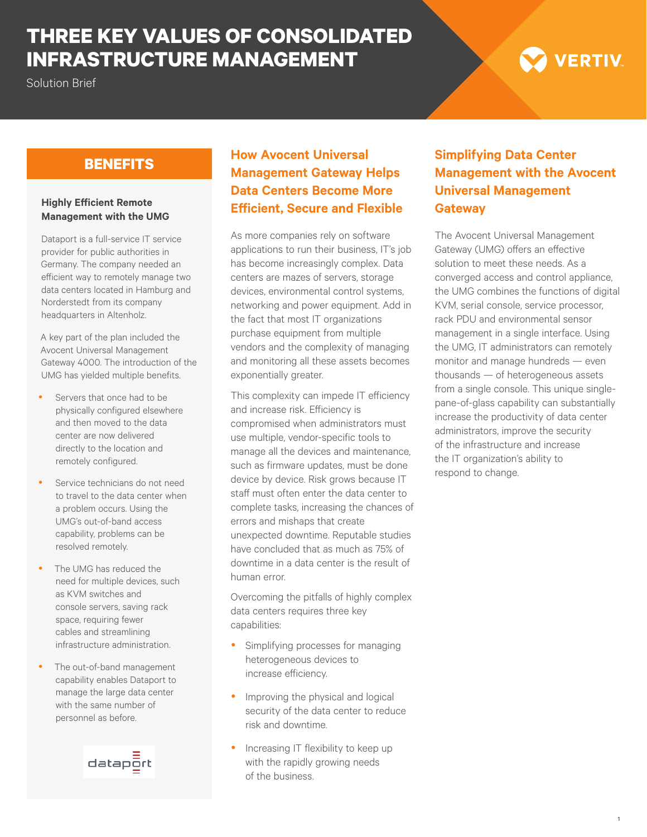# **THREE KEY VALUES OF CONSOLIDATED INFRASTRUCTURE MANAGEMENT**

### Solution Brief

# **VERTIV**

#### **Highly Efficient Remote Management with the UMG**

Dataport is a full-service IT service provider for public authorities in Germany. The company needed an efficient way to remotely manage two data centers located in Hamburg and Norderstedt from its company headquarters in Altenholz.

A key part of the plan included the Avocent Universal Management Gateway 4000. The introduction of the UMG has yielded multiple benefits.

- Servers that once had to be physically configured elsewhere and then moved to the data center are now delivered directly to the location and remotely configured.
- Service technicians do not need to travel to the data center when a problem occurs. Using the UMG's out-of-band access capability, problems can be resolved remotely.
- The UMG has reduced the need for multiple devices, such as KVM switches and console servers, saving rack space, requiring fewer cables and streamlining infrastructure administration.
- The out-of-band management capability enables Dataport to manage the large data center with the same number of personnel as before.



# **BENEFITS How Avocent Universal Management Gateway Helps Data Centers Become More Efficient, Secure and Flexible**

As more companies rely on software applications to run their business, IT's job has become increasingly complex. Data centers are mazes of servers, storage devices, environmental control systems, networking and power equipment. Add in the fact that most IT organizations purchase equipment from multiple vendors and the complexity of managing and monitoring all these assets becomes exponentially greater.

This complexity can impede IT efficiency and increase risk. Efficiency is compromised when administrators must use multiple, vendor-specific tools to manage all the devices and maintenance, such as firmware updates, must be done device by device. Risk grows because IT staff must often enter the data center to complete tasks, increasing the chances of errors and mishaps that create unexpected downtime. Reputable studies have concluded that as much as 75% of downtime in a data center is the result of human error.

Overcoming the pitfalls of highly complex data centers requires three key capabilities:

- Simplifying processes for managing heterogeneous devices to increase efficiency.
- Improving the physical and logical security of the data center to reduce risk and downtime.
- Increasing IT flexibility to keep up with the rapidly growing needs of the business.

# **Simplifying Data Center Management with the Avocent Universal Management Gateway**

The Avocent Universal Management Gateway (UMG) offers an effective solution to meet these needs. As a converged access and control appliance, the UMG combines the functions of digital KVM, serial console, service processor, rack PDU and environmental sensor management in a single interface. Using the UMG, IT administrators can remotely monitor and manage hundreds — even thousands — of heterogeneous assets from a single console. This unique singlepane-of-glass capability can substantially increase the productivity of data center administrators, improve the security of the infrastructure and increase the IT organization's ability to respond to change.